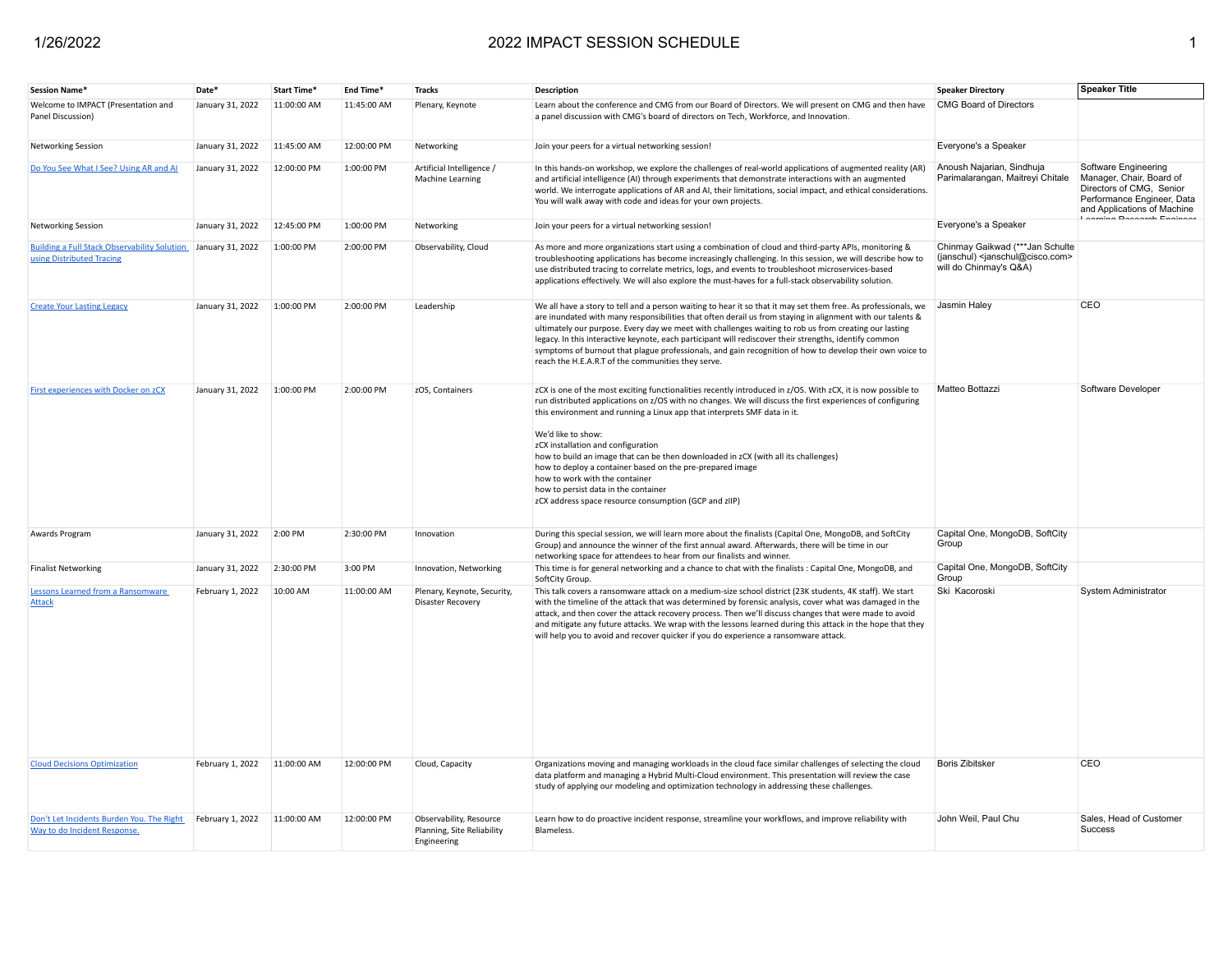| Session Name*                                                                              | Date <sup>*</sup> | Start Time* | End Time*                  | <b>Tracks</b>                                                        | Description                                                                                                                                                                                                                                                                                                                                                                                                                                                                                                                                                                                                                                              | <b>Speaker Directory</b>                                                                                               | <b>Speaker Title</b>                                                                                                                                             |
|--------------------------------------------------------------------------------------------|-------------------|-------------|----------------------------|----------------------------------------------------------------------|----------------------------------------------------------------------------------------------------------------------------------------------------------------------------------------------------------------------------------------------------------------------------------------------------------------------------------------------------------------------------------------------------------------------------------------------------------------------------------------------------------------------------------------------------------------------------------------------------------------------------------------------------------|------------------------------------------------------------------------------------------------------------------------|------------------------------------------------------------------------------------------------------------------------------------------------------------------|
| Welcome to IMPACT (Presentation and<br>Panel Discussion)                                   | January 31, 2022  | 11:00:00 AM | 11:45:00 AM                | Plenary, Keynote                                                     | Learn about the conference and CMG from our Board of Directors. We will present on CMG and then have<br>a panel discussion with CMG's board of directors on Tech, Workforce, and Innovation.                                                                                                                                                                                                                                                                                                                                                                                                                                                             | CMG Board of Directors                                                                                                 |                                                                                                                                                                  |
| <b>Networking Session</b>                                                                  | January 31, 2022  | 11:45:00 AM | 12:00:00 PM                | Networking                                                           | Join your peers for a virtual networking session!                                                                                                                                                                                                                                                                                                                                                                                                                                                                                                                                                                                                        | Everyone's a Speaker                                                                                                   |                                                                                                                                                                  |
| Do You See What I See? Using AR and AI                                                     | January 31, 2022  | 12:00:00 PM | 1:00:00 PM                 | Artificial Intelligence /<br>Machine Learning                        | In this hands-on workshop, we explore the challenges of real-world applications of augmented reality (AR)<br>and artificial intelligence (AI) through experiments that demonstrate interactions with an augmented<br>world. We interrogate applications of AR and AI, their limitations, social impact, and ethical considerations.<br>You will walk away with code and ideas for your own projects.                                                                                                                                                                                                                                                     | Anoush Najarian, Sindhuja<br>Parimalarangan, Maitreyi Chitale                                                          | Software Engineering<br>Manager, Chair, Board of<br>Directors of CMG, Senior<br>Performance Engineer, Data<br>and Applications of Machine<br>a Desearch Engineer |
| <b>Networking Session</b>                                                                  | January 31, 2022  | 12:45:00 PM | 1:00:00 PM                 | Networking                                                           | Join your peers for a virtual networking session!                                                                                                                                                                                                                                                                                                                                                                                                                                                                                                                                                                                                        | Everyone's a Speaker                                                                                                   |                                                                                                                                                                  |
| Building a Full Stack Observability Solution January 31, 2022<br>using Distributed Tracing |                   | 1:00:00 PM  | 2:00:00 PM                 | Observability, Cloud                                                 | As more and more organizations start using a combination of cloud and third-party APIs, monitoring &<br>troubleshooting applications has become increasingly challenging. In this session, we will describe how to<br>use distributed tracing to correlate metrics, logs, and events to troubleshoot microservices-based<br>applications effectively. We will also explore the must-haves for a full-stack observability solution.                                                                                                                                                                                                                       | Chinmay Gaikwad (***Jan Schulte<br>(janschul) <janschul@cisco.com><br/>will do Chinmay's Q&amp;A)</janschul@cisco.com> |                                                                                                                                                                  |
| <b>Create Your Lasting Legacy</b>                                                          | January 31, 2022  | 1:00:00 PM  | 2:00:00 PM                 | Leadership                                                           | We all have a story to tell and a person waiting to hear it so that it may set them free. As professionals, we<br>are inundated with many responsibilities that often derail us from staying in alignment with our talents &<br>ultimately our purpose. Every day we meet with challenges waiting to rob us from creating our lasting<br>legacy. In this interactive keynote, each participant will rediscover their strengths, identify common<br>symptoms of burnout that plague professionals, and gain recognition of how to develop their own voice to<br>reach the H.E.A.R.T of the communities they serve.                                        | Jasmin Haley                                                                                                           | CEO                                                                                                                                                              |
| First experiences with Docker on zCX                                                       | January 31, 2022  | 1:00:00 PM  | 2:00:00 PM                 | zOS, Containers                                                      | zCX is one of the most exciting functionalities recently introduced in z/OS. With zCX, it is now possible to<br>run distributed applications on z/OS with no changes. We will discuss the first experiences of configuring<br>this environment and running a Linux app that interprets SMF data in it.<br>We'd like to show:<br>zCX installation and configuration<br>how to build an image that can be then downloaded in zCX (with all its challenges)<br>how to deploy a container based on the pre-prepared image<br>how to work with the container<br>how to persist data in the container<br>zCX address space resource consumption (GCP and zIIP) | Matteo Bottazzi                                                                                                        | Software Developer                                                                                                                                               |
| Awards Program                                                                             | January 31, 2022  | 2:00 PM     | 2:30:00 PM                 | Innovation                                                           | During this special session, we will learn more about the finalists (Capital One, MongoDB, and SoftCity<br>Group) and announce the winner of the first annual award. Afterwards, there will be time in our<br>networking space for attendees to hear from our finalists and winner.                                                                                                                                                                                                                                                                                                                                                                      | Capital One, MongoDB, SoftCity<br>Group                                                                                |                                                                                                                                                                  |
| <b>Finalist Networking</b>                                                                 | January 31, 2022  | 2:30:00 PM  | 3:00 PM                    | Innovation, Networking                                               | This time is for general networking and a chance to chat with the finalists : Capital One, MongoDB, and<br>SoftCity Group.                                                                                                                                                                                                                                                                                                                                                                                                                                                                                                                               | Capital One, MongoDB, SoftCity<br>Group                                                                                |                                                                                                                                                                  |
| Lessons Learned from a Ransomware<br><b>Attack</b>                                         | February 1, 2022  | 10:00 AM    | 11:00:00 AM<br>12:00:00 PM | Plenary, Keynote, Security,<br>Disaster Recovery                     | This talk covers a ransomware attack on a medium-size school district (23K students, 4K staff). We start<br>with the timeline of the attack that was determined by forensic analysis, cover what was damaged in the<br>attack, and then cover the attack recovery process. Then we'll discuss changes that were made to avoid<br>and mitigate any future attacks. We wrap with the lessons learned during this attack in the hope that they<br>will help you to avoid and recover quicker if you do experience a ransomware attack.                                                                                                                      | Ski Kacoroski<br><b>Boris Zibitsker</b>                                                                                | System Administrator<br>CEO                                                                                                                                      |
| <b>Cloud Decisions Optimization</b>                                                        | February 1, 2022  | 11:00:00 AM |                            | Cloud, Capacity                                                      | Organizations moving and managing workloads in the cloud face similar challenges of selecting the cloud<br>data platform and managing a Hybrid Multi-Cloud environment. This presentation will review the case<br>study of applying our modeling and optimization technology in addressing these challenges.                                                                                                                                                                                                                                                                                                                                             |                                                                                                                        |                                                                                                                                                                  |
| Don't Let Incidents Burden You. The Right<br>Way to do Incident Response.                  | February 1, 2022  | 11:00:00 AM | 12:00:00 PM                | Observability, Resource<br>Planning, Site Reliability<br>Engineering | Learn how to do proactive incident response, streamline your workflows, and improve reliability with<br>Blameless.                                                                                                                                                                                                                                                                                                                                                                                                                                                                                                                                       | John Weil, Paul Chu                                                                                                    | Sales, Head of Customer<br>Success                                                                                                                               |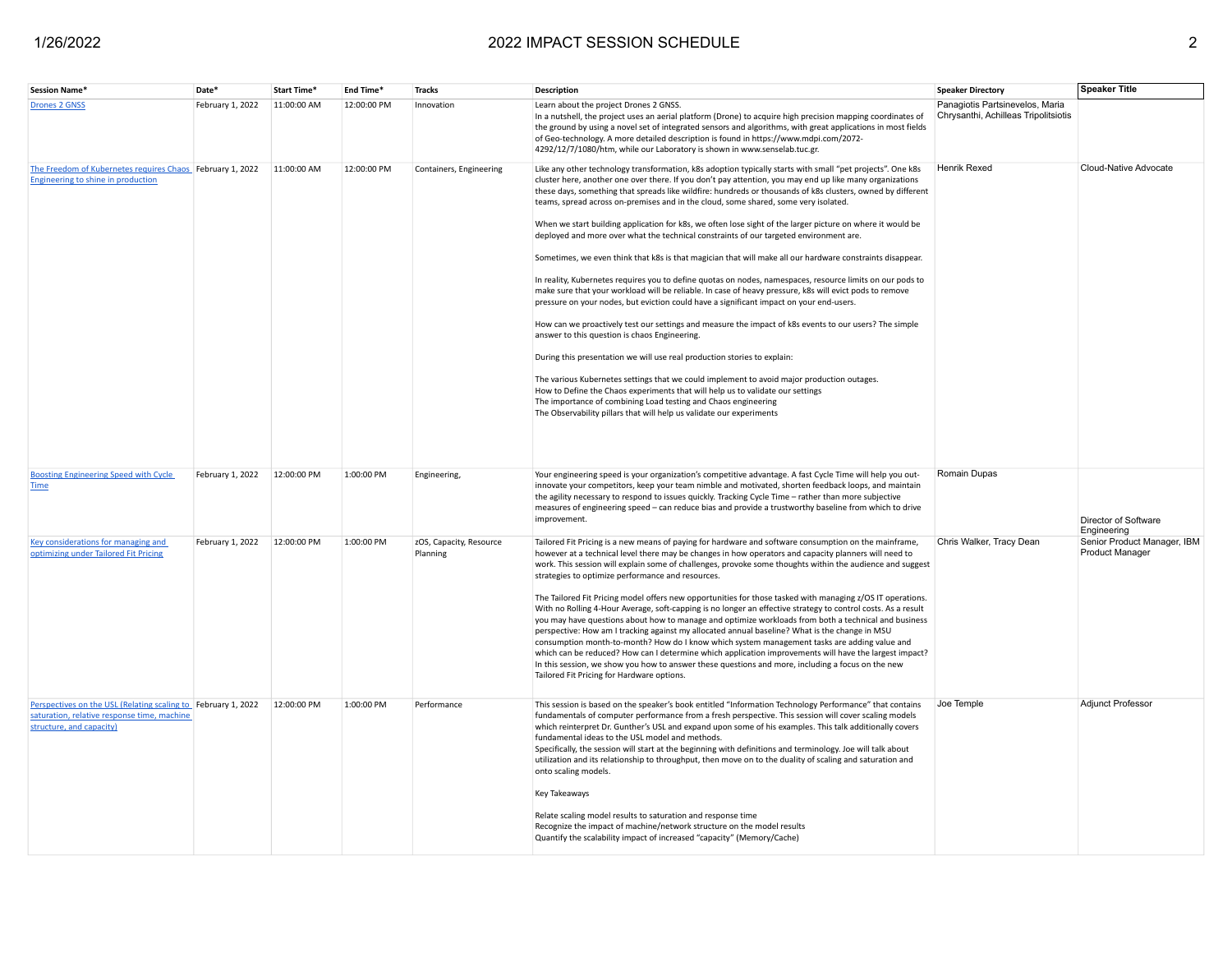| <b>Session Name</b>                                                                                                                      | Date <sup>®</sup> | Start Time' | End Time*   | <b>Tracks</b>                       | Description                                                                                                                                                                                                                                                                                                                                                                                                                                                                                                                                                                                                                                                                                                                                                                                                                                                                                                                                                                                                                                                                                                                                                                                                                                                                                                                                                                                                                                                                                                                                                                                                                           | <b>Speaker Directory</b>                                                | <b>Speaker Title</b>                           |
|------------------------------------------------------------------------------------------------------------------------------------------|-------------------|-------------|-------------|-------------------------------------|---------------------------------------------------------------------------------------------------------------------------------------------------------------------------------------------------------------------------------------------------------------------------------------------------------------------------------------------------------------------------------------------------------------------------------------------------------------------------------------------------------------------------------------------------------------------------------------------------------------------------------------------------------------------------------------------------------------------------------------------------------------------------------------------------------------------------------------------------------------------------------------------------------------------------------------------------------------------------------------------------------------------------------------------------------------------------------------------------------------------------------------------------------------------------------------------------------------------------------------------------------------------------------------------------------------------------------------------------------------------------------------------------------------------------------------------------------------------------------------------------------------------------------------------------------------------------------------------------------------------------------------|-------------------------------------------------------------------------|------------------------------------------------|
| <b>Drones 2 GNSS</b>                                                                                                                     | February 1, 2022  | 11:00:00 AM | 12:00:00 PM | Innovation                          | Learn about the project Drones 2 GNSS.<br>In a nutshell, the project uses an aerial platform (Drone) to acquire high precision mapping coordinates of<br>the ground by using a novel set of integrated sensors and algorithms, with great applications in most fields<br>of Geo-technology. A more detailed description is found in https://www.mdpi.com/2072-<br>4292/12/7/1080/htm, while our Laboratory is shown in www.senselab.tuc.gr.                                                                                                                                                                                                                                                                                                                                                                                                                                                                                                                                                                                                                                                                                                                                                                                                                                                                                                                                                                                                                                                                                                                                                                                           | Panagiotis Partsinevelos, Maria<br>Chrysanthi, Achilleas Tripolitsiotis |                                                |
| The Freedom of Kubernetes requires Chaos February 1, 2022<br>Engineering to shine in production                                          |                   | 11:00:00 AM | 12:00:00 PM | Containers, Engineering             | Like any other technology transformation, k8s adoption typically starts with small "pet projects". One k8s<br>cluster here, another one over there. If you don't pay attention, you may end up like many organizations<br>these days, something that spreads like wildfire: hundreds or thousands of k8s clusters, owned by different<br>teams, spread across on-premises and in the cloud, some shared, some very isolated.<br>When we start building application for k8s, we often lose sight of the larger picture on where it would be<br>deployed and more over what the technical constraints of our targeted environment are.<br>Sometimes, we even think that k8s is that magician that will make all our hardware constraints disappear.<br>In reality, Kubernetes requires you to define quotas on nodes, namespaces, resource limits on our pods to<br>make sure that your workload will be reliable. In case of heavy pressure, k8s will evict pods to remove<br>pressure on your nodes, but eviction could have a significant impact on your end-users.<br>How can we proactively test our settings and measure the impact of k8s events to our users? The simple<br>answer to this question is chaos Engineering.<br>During this presentation we will use real production stories to explain:<br>The various Kubernetes settings that we could implement to avoid major production outages.<br>How to Define the Chaos experiments that will help us to validate our settings<br>The importance of combining Load testing and Chaos engineering<br>The Observability pillars that will help us validate our experiments | <b>Henrik Rexed</b>                                                     | Cloud-Native Advocate                          |
| <b>Boosting Engineering Speed with Cycle</b><br><b>Time</b>                                                                              | February 1, 2022  | 12:00:00 PM | 1:00:00 PM  | Engineering,                        | Your engineering speed is your organization's competitive advantage. A fast Cycle Time will help you out-<br>innovate your competitors, keep your team nimble and motivated, shorten feedback loops, and maintain<br>the agility necessary to respond to issues quickly. Tracking Cycle Time - rather than more subjective<br>measures of engineering speed - can reduce bias and provide a trustworthy baseline from which to drive<br>improvement.                                                                                                                                                                                                                                                                                                                                                                                                                                                                                                                                                                                                                                                                                                                                                                                                                                                                                                                                                                                                                                                                                                                                                                                  | Romain Dupas                                                            | Director of Software<br>Engineering            |
| Key considerations for managing and<br>optimizing under Tailored Fit Pricing                                                             | February 1, 2022  | 12:00:00 PM | 1:00:00 PM  | zOS, Capacity, Resource<br>Planning | Tailored Fit Pricing is a new means of paying for hardware and software consumption on the mainframe,<br>however at a technical level there may be changes in how operators and capacity planners will need to<br>work. This session will explain some of challenges, provoke some thoughts within the audience and suggest<br>strategies to optimize performance and resources.<br>The Tailored Fit Pricing model offers new opportunities for those tasked with managing z/OS IT operations.<br>With no Rolling 4-Hour Average, soft-capping is no longer an effective strategy to control costs. As a result<br>you may have questions about how to manage and optimize workloads from both a technical and business<br>perspective: How am I tracking against my allocated annual baseline? What is the change in MSU<br>consumption month-to-month? How do I know which system management tasks are adding value and<br>which can be reduced? How can I determine which application improvements will have the largest impact?<br>In this session, we show you how to answer these questions and more, including a focus on the new<br>Tailored Fit Pricing for Hardware options.                                                                                                                                                                                                                                                                                                                                                                                                                                                | Chris Walker, Tracy Dean                                                | Senior Product Manager, IBM<br>Product Manager |
| Perspectives on the USL (Relating scaling to February 1, 2022<br>saturation, relative response time, machine<br>structure, and capacity) |                   | 12:00:00 PM | 1:00:00 PM  | Performance                         | This session is based on the speaker's book entitled "Information Technology Performance" that contains<br>fundamentals of computer performance from a fresh perspective. This session will cover scaling models<br>which reinterpret Dr. Gunther's USL and expand upon some of his examples. This talk additionally covers<br>fundamental ideas to the USL model and methods.<br>Specifically, the session will start at the beginning with definitions and terminology. Joe will talk about<br>utilization and its relationship to throughput, then move on to the duality of scaling and saturation and<br>onto scaling models.<br>Key Takeaways<br>Relate scaling model results to saturation and response time<br>Recognize the impact of machine/network structure on the model results<br>Quantify the scalability impact of increased "capacity" (Memory/Cache)                                                                                                                                                                                                                                                                                                                                                                                                                                                                                                                                                                                                                                                                                                                                                               | Joe Temple                                                              | Adjunct Professor                              |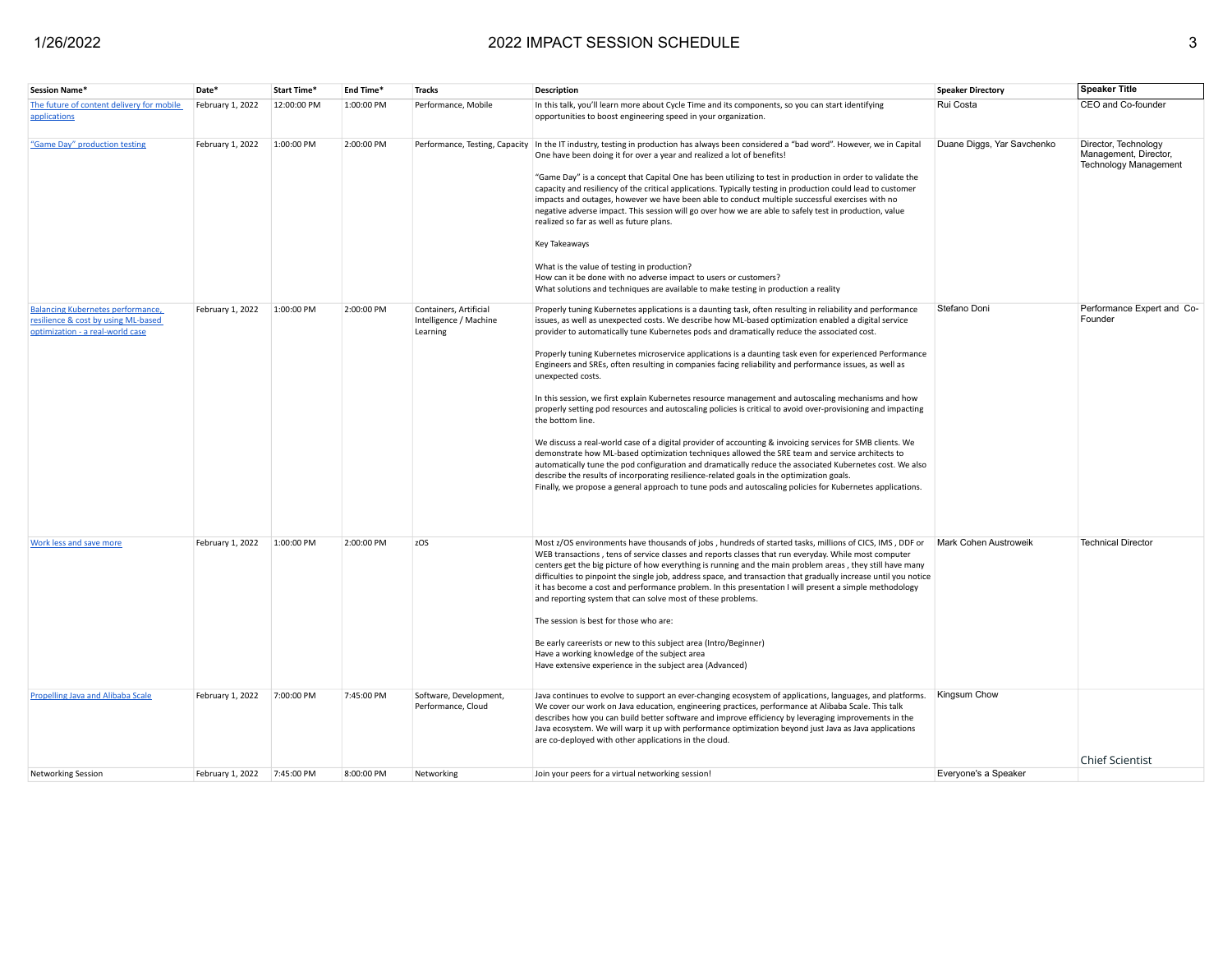| <b>Session Name*</b>                                                                                         | Date*                       | Start Time* | End Time*  | <b>Tracks</b>                                                | <b>Description</b>                                                                                                                                                                                                                                                                                                                                                                                                                                                                                                                                                                                                                                                                                                                                                                                                                                                                                                                                                                                                                                                                                                                                                                                                                                                                                                                            | <b>Speaker Directory</b>   | <b>Speaker Title</b>                                                          |
|--------------------------------------------------------------------------------------------------------------|-----------------------------|-------------|------------|--------------------------------------------------------------|-----------------------------------------------------------------------------------------------------------------------------------------------------------------------------------------------------------------------------------------------------------------------------------------------------------------------------------------------------------------------------------------------------------------------------------------------------------------------------------------------------------------------------------------------------------------------------------------------------------------------------------------------------------------------------------------------------------------------------------------------------------------------------------------------------------------------------------------------------------------------------------------------------------------------------------------------------------------------------------------------------------------------------------------------------------------------------------------------------------------------------------------------------------------------------------------------------------------------------------------------------------------------------------------------------------------------------------------------|----------------------------|-------------------------------------------------------------------------------|
| The future of content delivery for mobile<br>applications                                                    | February 1, 2022            | 12:00:00 PM | 1:00:00 PM | Performance, Mobile                                          | In this talk, you'll learn more about Cycle Time and its components, so you can start identifying<br>opportunities to boost engineering speed in your organization.                                                                                                                                                                                                                                                                                                                                                                                                                                                                                                                                                                                                                                                                                                                                                                                                                                                                                                                                                                                                                                                                                                                                                                           | Rui Costa                  | CEO and Co-founder                                                            |
| "Game Day" production testing                                                                                | February 1, 2022            | 1:00:00 PM  | 2:00:00 PM | Performance, Testing, Capacity                               | In the IT industry, testing in production has always been considered a "bad word". However, we in Capital<br>One have been doing it for over a year and realized a lot of benefits!<br>"Game Day" is a concept that Capital One has been utilizing to test in production in order to validate the<br>capacity and resiliency of the critical applications. Typically testing in production could lead to customer<br>impacts and outages, however we have been able to conduct multiple successful exercises with no<br>negative adverse impact. This session will go over how we are able to safely test in production, value<br>realized so far as well as future plans.<br>Key Takeaways<br>What is the value of testing in production?<br>How can it be done with no adverse impact to users or customers?<br>What solutions and techniques are available to make testing in production a reality                                                                                                                                                                                                                                                                                                                                                                                                                                         | Duane Diggs, Yar Savchenko | Director, Technology<br>Management, Director,<br><b>Technology Management</b> |
| Balancing Kubernetes performance,<br>resilience & cost by using ML-based<br>optimization - a real-world case | February 1, 2022            | 1:00:00 PM  | 2:00:00 PM | Containers, Artificial<br>Intelligence / Machine<br>Learning | Properly tuning Kubernetes applications is a daunting task, often resulting in reliability and performance<br>issues, as well as unexpected costs. We describe how ML-based optimization enabled a digital service<br>provider to automatically tune Kubernetes pods and dramatically reduce the associated cost.<br>Properly tuning Kubernetes microservice applications is a daunting task even for experienced Performance<br>Engineers and SREs, often resulting in companies facing reliability and performance issues, as well as<br>unexpected costs.<br>In this session, we first explain Kubernetes resource management and autoscaling mechanisms and how<br>properly setting pod resources and autoscaling policies is critical to avoid over-provisioning and impacting<br>the bottom line.<br>We discuss a real-world case of a digital provider of accounting & invoicing services for SMB clients. We<br>demonstrate how ML-based optimization techniques allowed the SRE team and service architects to<br>automatically tune the pod configuration and dramatically reduce the associated Kubernetes cost. We also<br>describe the results of incorporating resilience-related goals in the optimization goals.<br>Finally, we propose a general approach to tune pods and autoscaling policies for Kubernetes applications. | Stefano Doni               | Performance Expert and Co-<br>Founder                                         |
| Work less and save more                                                                                      | February 1, 2022            | 1:00:00 PM  | 2:00:00 PM | zOS                                                          | Most z/OS environments have thousands of jobs, hundreds of started tasks, millions of CICS, IMS, DDF or<br>WEB transactions, tens of service classes and reports classes that run everyday. While most computer<br>centers get the big picture of how everything is running and the main problem areas, they still have many<br>difficulties to pinpoint the single job, address space, and transaction that gradually increase until you notice<br>it has become a cost and performance problem. In this presentation I will present a simple methodology<br>and reporting system that can solve most of these problems.<br>The session is best for those who are:<br>Be early careerists or new to this subject area (Intro/Beginner)<br>Have a working knowledge of the subject area<br>Have extensive experience in the subject area (Advanced)                                                                                                                                                                                                                                                                                                                                                                                                                                                                                           | Mark Cohen Austroweik      | <b>Technical Director</b>                                                     |
| Propelling Java and Alibaba Scale                                                                            | February 1, 2022            | 7:00:00 PM  | 7:45:00 PM | Software, Development,<br>Performance, Cloud                 | Java continues to evolve to support an ever-changing ecosystem of applications, languages, and platforms.<br>We cover our work on Java education, engineering practices, performance at Alibaba Scale. This talk<br>describes how you can build better software and improve efficiency by leveraging improvements in the<br>Java ecosystem. We will warp it up with performance optimization beyond just Java as Java applications<br>are co-deployed with other applications in the cloud.                                                                                                                                                                                                                                                                                                                                                                                                                                                                                                                                                                                                                                                                                                                                                                                                                                                   | Kingsum Chow               | <b>Chief Scientist</b>                                                        |
| <b>Networking Session</b>                                                                                    | February 1, 2022 7:45:00 PM |             | 8:00:00 PM | Networking                                                   | Join your peers for a virtual networking session!                                                                                                                                                                                                                                                                                                                                                                                                                                                                                                                                                                                                                                                                                                                                                                                                                                                                                                                                                                                                                                                                                                                                                                                                                                                                                             | Everyone's a Speaker       |                                                                               |
|                                                                                                              |                             |             |            |                                                              |                                                                                                                                                                                                                                                                                                                                                                                                                                                                                                                                                                                                                                                                                                                                                                                                                                                                                                                                                                                                                                                                                                                                                                                                                                                                                                                                               |                            |                                                                               |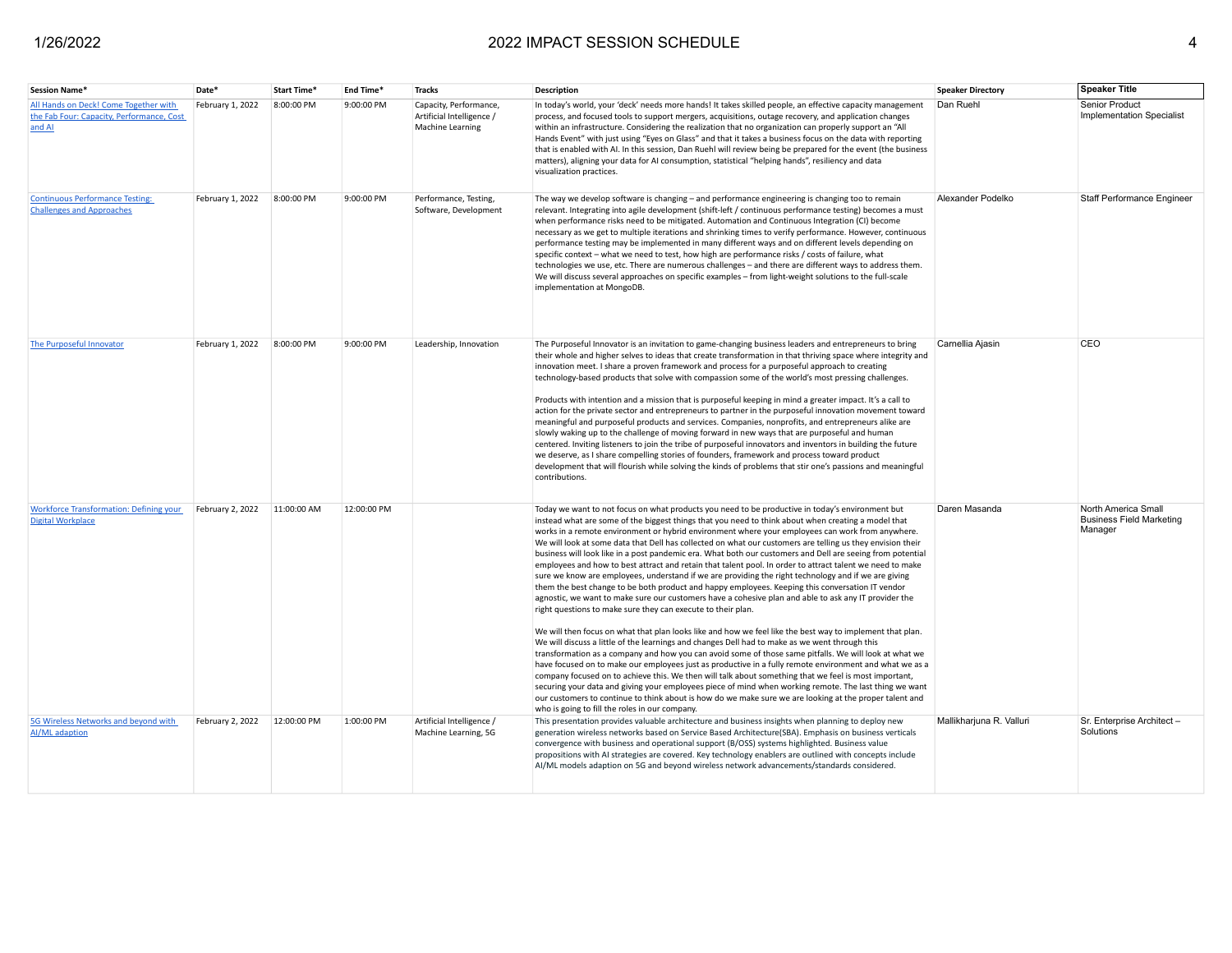| <b>Session Name*</b>                                                                         | Date*            | Start Time <sup>®</sup> | End Time*   | <b>Tracks</b>                                                           | <b>Description</b>                                                                                                                                                                                                                                                                                                                                                                                                                                                                                                                                                                                                                                                                                                                                                                                                                                                                                                                                                                                                                                                                                                                                                                                                                                                                                                                                                                                                                                                                                                                                                                                                                                                                                                                                                                                                                                            | <b>Speaker Directory</b> | <b>Speaker Title</b>                                              |
|----------------------------------------------------------------------------------------------|------------------|-------------------------|-------------|-------------------------------------------------------------------------|---------------------------------------------------------------------------------------------------------------------------------------------------------------------------------------------------------------------------------------------------------------------------------------------------------------------------------------------------------------------------------------------------------------------------------------------------------------------------------------------------------------------------------------------------------------------------------------------------------------------------------------------------------------------------------------------------------------------------------------------------------------------------------------------------------------------------------------------------------------------------------------------------------------------------------------------------------------------------------------------------------------------------------------------------------------------------------------------------------------------------------------------------------------------------------------------------------------------------------------------------------------------------------------------------------------------------------------------------------------------------------------------------------------------------------------------------------------------------------------------------------------------------------------------------------------------------------------------------------------------------------------------------------------------------------------------------------------------------------------------------------------------------------------------------------------------------------------------------------------|--------------------------|-------------------------------------------------------------------|
| All Hands on Deck! Come Together with<br>the Fab Four: Capacity, Performance, Cost<br>and AI | February 1, 2022 | 8:00:00 PM              | 9:00:00 PM  | Capacity, Performance,<br>Artificial Intelligence /<br>Machine Learning | In today's world, your 'deck' needs more hands! It takes skilled people, an effective capacity management<br>process, and focused tools to support mergers, acquisitions, outage recovery, and application changes<br>within an infrastructure. Considering the realization that no organization can properly support an "All<br>Hands Event" with just using "Eyes on Glass" and that it takes a business focus on the data with reporting<br>that is enabled with AI. In this session, Dan Ruehl will review being be prepared for the event (the business<br>matters), aligning your data for AI consumption, statistical "helping hands", resiliency and data<br>visualization practices.                                                                                                                                                                                                                                                                                                                                                                                                                                                                                                                                                                                                                                                                                                                                                                                                                                                                                                                                                                                                                                                                                                                                                                 | Dan Ruehl                | Senior Product<br><b>Implementation Specialist</b>                |
| <b>Continuous Performance Testing:</b><br><b>Challenges and Approaches</b>                   | February 1, 2022 | 8:00:00 PM              | 9:00:00 PM  | Performance, Testing,<br>Software, Development                          | The way we develop software is changing - and performance engineering is changing too to remain<br>relevant. Integrating into agile development (shift-left / continuous performance testing) becomes a must<br>when performance risks need to be mitigated. Automation and Continuous Integration (CI) become<br>necessary as we get to multiple iterations and shrinking times to verify performance. However, continuous<br>performance testing may be implemented in many different ways and on different levels depending on<br>specific context - what we need to test, how high are performance risks / costs of failure, what<br>technologies we use, etc. There are numerous challenges - and there are different ways to address them.<br>We will discuss several approaches on specific examples - from light-weight solutions to the full-scale<br>implementation at MongoDB.                                                                                                                                                                                                                                                                                                                                                                                                                                                                                                                                                                                                                                                                                                                                                                                                                                                                                                                                                                     | Alexander Podelko        | Staff Performance Engineer                                        |
| The Purposeful Innovator                                                                     | February 1, 2022 | 8:00:00 PM              | 9:00:00 PM  | Leadership, Innovation                                                  | The Purposeful Innovator is an invitation to game-changing business leaders and entrepreneurs to bring<br>their whole and higher selves to ideas that create transformation in that thriving space where integrity and<br>innovation meet. I share a proven framework and process for a purposeful approach to creating<br>technology-based products that solve with compassion some of the world's most pressing challenges.<br>Products with intention and a mission that is purposeful keeping in mind a greater impact. It's a call to<br>action for the private sector and entrepreneurs to partner in the purposeful innovation movement toward<br>meaningful and purposeful products and services. Companies, nonprofits, and entrepreneurs alike are<br>slowly waking up to the challenge of moving forward in new ways that are purposeful and human<br>centered. Inviting listeners to join the tribe of purposeful innovators and inventors in building the future<br>we deserve, as I share compelling stories of founders, framework and process toward product<br>development that will flourish while solving the kinds of problems that stir one's passions and meaningful<br>contributions.                                                                                                                                                                                                                                                                                                                                                                                                                                                                                                                                                                                                                                                  | Carnellia Ajasin         | CEO                                                               |
| <b>Workforce Transformation: Defining your</b><br><b>Digital Workplace</b>                   | February 2, 2022 | 11:00:00 AM             | 12:00:00 PM |                                                                         | Today we want to not focus on what products you need to be productive in today's environment but<br>instead what are some of the biggest things that you need to think about when creating a model that<br>works in a remote environment or hybrid environment where your employees can work from anywhere.<br>We will look at some data that Dell has collected on what our customers are telling us they envision their<br>business will look like in a post pandemic era. What both our customers and Dell are seeing from potential<br>employees and how to best attract and retain that talent pool. In order to attract talent we need to make<br>sure we know are employees, understand if we are providing the right technology and if we are giving<br>them the best change to be both product and happy employees. Keeping this conversation IT vendor<br>agnostic, we want to make sure our customers have a cohesive plan and able to ask any IT provider the<br>right questions to make sure they can execute to their plan.<br>We will then focus on what that plan looks like and how we feel like the best way to implement that plan.<br>We will discuss a little of the learnings and changes Dell had to make as we went through this<br>transformation as a company and how you can avoid some of those same pitfalls. We will look at what we<br>have focused on to make our employees just as productive in a fully remote environment and what we as a<br>company focused on to achieve this. We then will talk about something that we feel is most important,<br>securing your data and giving your employees piece of mind when working remote. The last thing we want<br>our customers to continue to think about is how do we make sure we are looking at the proper talent and<br>who is going to fill the roles in our company. | Daren Masanda            | North America Small<br><b>Business Field Marketing</b><br>Manager |
| 5G Wireless Networks and beyond with<br>Al/ML adaption                                       | February 2, 2022 | 12:00:00 PM             | 1:00:00 PM  | Artificial Intelligence /<br>Machine Learning, 5G                       | This presentation provides valuable architecture and business insights when planning to deploy new<br>generation wireless networks based on Service Based Architecture(SBA). Emphasis on business verticals<br>convergence with business and operational support (B/OSS) systems highlighted. Business value<br>propositions with AI strategies are covered. Key technology enablers are outlined with concepts include<br>Al/ML models adaption on 5G and beyond wireless network advancements/standards considered.                                                                                                                                                                                                                                                                                                                                                                                                                                                                                                                                                                                                                                                                                                                                                                                                                                                                                                                                                                                                                                                                                                                                                                                                                                                                                                                                         | Mallikharjuna R. Valluri | Sr. Enterprise Architect -<br>Solutions                           |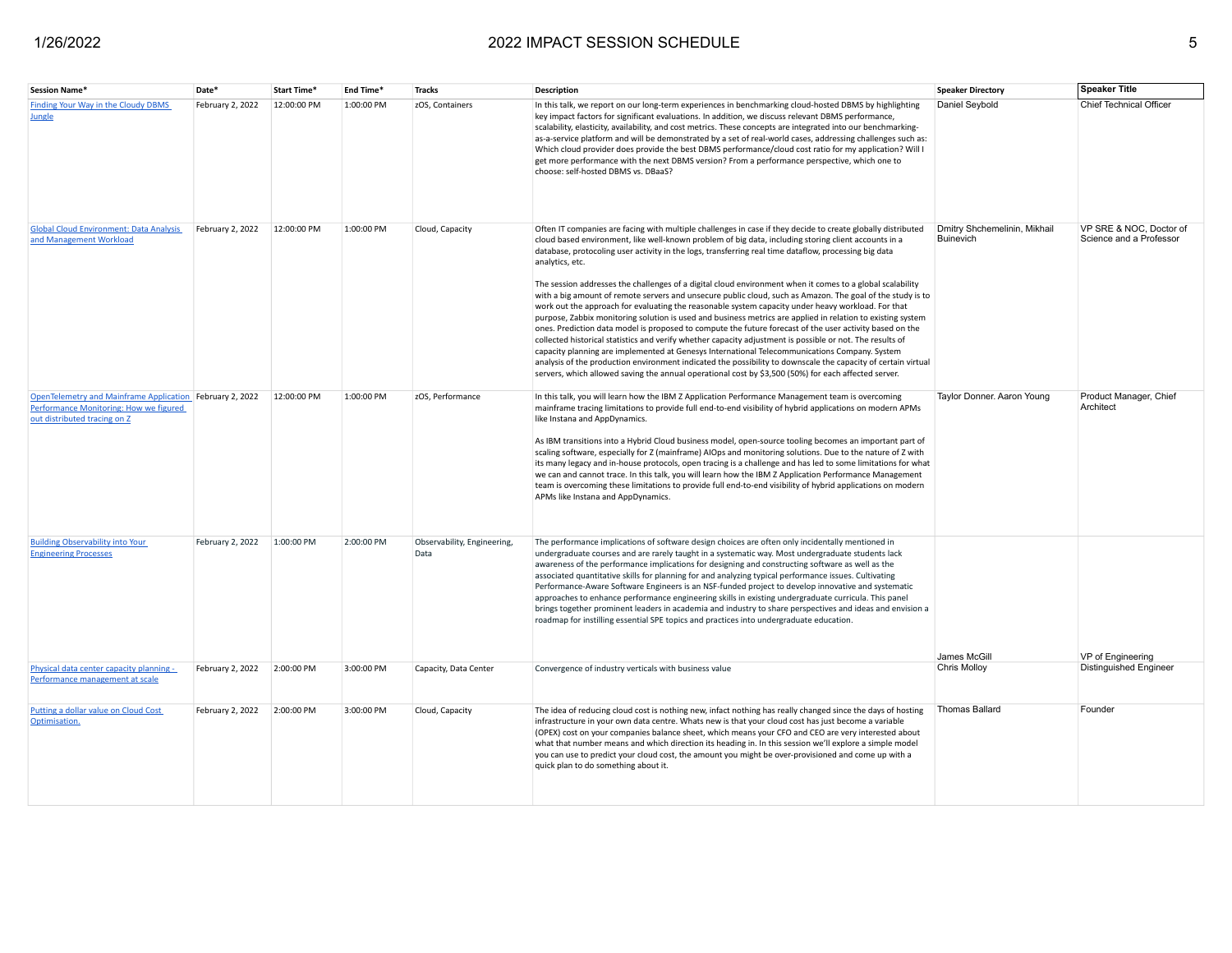| Session Name*                                                                                                                      | Date*            | Start Time* | End Time*  | <b>Tracks</b>                       | <b>Description</b>                                                                                                                                                                                                                                                                                                                                                                                                                                                                                                                                                                                                                                                                                                                                                                                                                                                                                                                                                                                                                                                                                                                                                                                                                                                                                                                                  | <b>Speaker Directory</b>                         | <b>Speaker Title</b>                               |
|------------------------------------------------------------------------------------------------------------------------------------|------------------|-------------|------------|-------------------------------------|-----------------------------------------------------------------------------------------------------------------------------------------------------------------------------------------------------------------------------------------------------------------------------------------------------------------------------------------------------------------------------------------------------------------------------------------------------------------------------------------------------------------------------------------------------------------------------------------------------------------------------------------------------------------------------------------------------------------------------------------------------------------------------------------------------------------------------------------------------------------------------------------------------------------------------------------------------------------------------------------------------------------------------------------------------------------------------------------------------------------------------------------------------------------------------------------------------------------------------------------------------------------------------------------------------------------------------------------------------|--------------------------------------------------|----------------------------------------------------|
| Finding Your Way in the Cloudy DBMS<br><b>Jungle</b>                                                                               | February 2, 2022 | 12:00:00 PM | 1:00:00 PM | zOS, Containers                     | In this talk, we report on our long-term experiences in benchmarking cloud-hosted DBMS by highlighting<br>key impact factors for significant evaluations. In addition, we discuss relevant DBMS performance,<br>scalability, elasticity, availability, and cost metrics. These concepts are integrated into our benchmarking-<br>as-a-service platform and will be demonstrated by a set of real-world cases, addressing challenges such as:<br>Which cloud provider does provide the best DBMS performance/cloud cost ratio for my application? Will I<br>get more performance with the next DBMS version? From a performance perspective, which one to<br>choose: self-hosted DBMS vs. DBaaS?                                                                                                                                                                                                                                                                                                                                                                                                                                                                                                                                                                                                                                                     | Daniel Seybold                                   | Chief Technical Officer                            |
| <b>Global Cloud Environment: Data Analysis</b><br>and Management Workload                                                          | February 2, 2022 | 12:00:00 PM | 1:00:00 PM | Cloud, Capacity                     | Often IT companies are facing with multiple challenges in case if they decide to create globally distributed<br>cloud based environment, like well-known problem of big data, including storing client accounts in a<br>database, protocoling user activity in the logs, transferring real time dataflow, processing big data<br>analytics, etc.<br>The session addresses the challenges of a digital cloud environment when it comes to a global scalability<br>with a big amount of remote servers and unsecure public cloud, such as Amazon. The goal of the study is to<br>work out the approach for evaluating the reasonable system capacity under heavy workload. For that<br>purpose, Zabbix monitoring solution is used and business metrics are applied in relation to existing system<br>ones. Prediction data model is proposed to compute the future forecast of the user activity based on the<br>collected historical statistics and verify whether capacity adjustment is possible or not. The results of<br>capacity planning are implemented at Genesys International Telecommunications Company. System<br>analysis of the production environment indicated the possibility to downscale the capacity of certain virtual<br>servers, which allowed saving the annual operational cost by \$3,500 (50%) for each affected server. | Dmitry Shchemelinin, Mikhail<br><b>Buinevich</b> | VP SRE & NOC. Doctor of<br>Science and a Professor |
| OpenTelemetry and Mainframe Application February 2, 2022<br>Performance Monitoring: How we figured<br>out distributed tracing on Z |                  | 12:00:00 PM | 1:00:00 PM | zOS, Performance                    | In this talk, you will learn how the IBM Z Application Performance Management team is overcoming<br>mainframe tracing limitations to provide full end-to-end visibility of hybrid applications on modern APMs<br>like Instana and AppDynamics.<br>As IBM transitions into a Hybrid Cloud business model, open-source tooling becomes an important part of<br>scaling software, especially for Z (mainframe) AIOps and monitoring solutions. Due to the nature of Z with<br>its many legacy and in-house protocols, open tracing is a challenge and has led to some limitations for what<br>we can and cannot trace. In this talk, you will learn how the IBM Z Application Performance Management<br>team is overcoming these limitations to provide full end-to-end visibility of hybrid applications on modern<br>APMs like Instana and AppDynamics.                                                                                                                                                                                                                                                                                                                                                                                                                                                                                              | Taylor Donner. Aaron Young                       | Product Manager, Chief<br>Architect                |
| <b>Building Observability into Your</b><br><b>Engineering Processes</b>                                                            | February 2, 2022 | 1:00:00 PM  | 2:00:00 PM | Observability, Engineering,<br>Data | The performance implications of software design choices are often only incidentally mentioned in<br>undergraduate courses and are rarely taught in a systematic way. Most undergraduate students lack<br>awareness of the performance implications for designing and constructing software as well as the<br>associated quantitative skills for planning for and analyzing typical performance issues. Cultivating<br>Performance-Aware Software Engineers is an NSF-funded project to develop innovative and systematic<br>approaches to enhance performance engineering skills in existing undergraduate curricula. This panel<br>brings together prominent leaders in academia and industry to share perspectives and ideas and envision a<br>roadmap for instilling essential SPE topics and practices into undergraduate education.                                                                                                                                                                                                                                                                                                                                                                                                                                                                                                            | James McGill                                     | VP of Engineering                                  |
| Physical data center capacity planning -<br>Performance management at scale                                                        | February 2, 2022 | 2:00:00 PM  | 3:00:00 PM | Capacity, Data Center               | Convergence of industry verticals with business value                                                                                                                                                                                                                                                                                                                                                                                                                                                                                                                                                                                                                                                                                                                                                                                                                                                                                                                                                                                                                                                                                                                                                                                                                                                                                               | Chris Molloy                                     | <b>Distinguished Engineer</b>                      |
| Putting a dollar value on Cloud Cost<br>Optimisation.                                                                              | February 2, 2022 | 2:00:00 PM  | 3:00:00 PM | Cloud, Capacity                     | The idea of reducing cloud cost is nothing new, infact nothing has really changed since the days of hosting<br>infrastructure in your own data centre. Whats new is that your cloud cost has just become a variable<br>(OPEX) cost on your companies balance sheet, which means your CFO and CEO are very interested about<br>what that number means and which direction its heading in. In this session we'll explore a simple model<br>you can use to predict your cloud cost, the amount you might be over-provisioned and come up with a<br>quick plan to do something about it.                                                                                                                                                                                                                                                                                                                                                                                                                                                                                                                                                                                                                                                                                                                                                                | <b>Thomas Ballard</b>                            | Founder                                            |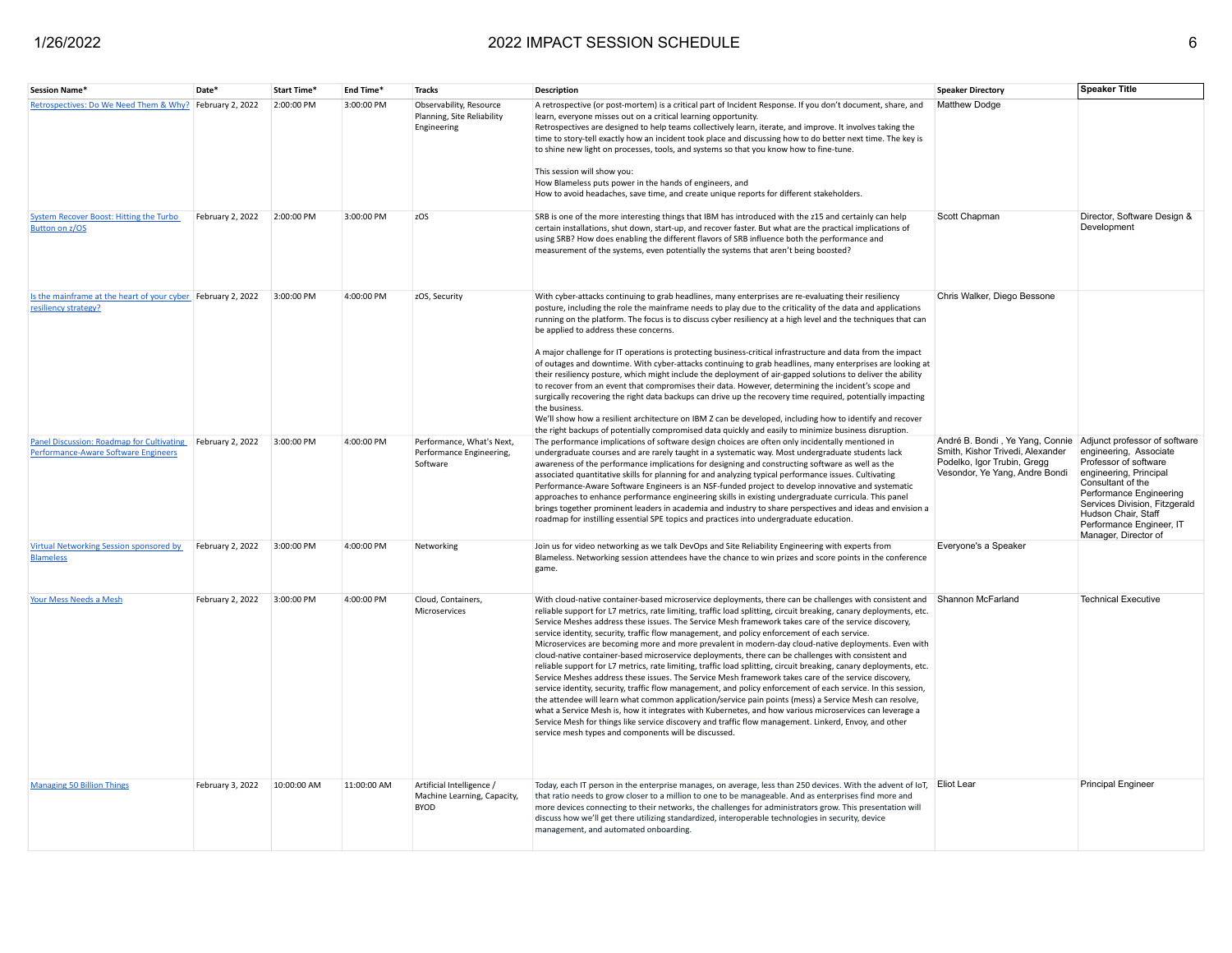| Session Name*                                                                                      | Date <sup>®</sup> | <b>Start Time</b> | End Time*   | <b>Tracks</b>                                                           | <b>Description</b>                                                                                                                                                                                                                                                                                                                                                                                                                                                                                                                                                                                                                                                                                                                                                                                                                                                                                                                                                                                                                                                                                                                                                                                                                                                                                                                                                                       | <b>Speaker Directory</b>                                                                                                                                           | <b>Speaker Title</b>                                                                                                                                                                                                                  |
|----------------------------------------------------------------------------------------------------|-------------------|-------------------|-------------|-------------------------------------------------------------------------|------------------------------------------------------------------------------------------------------------------------------------------------------------------------------------------------------------------------------------------------------------------------------------------------------------------------------------------------------------------------------------------------------------------------------------------------------------------------------------------------------------------------------------------------------------------------------------------------------------------------------------------------------------------------------------------------------------------------------------------------------------------------------------------------------------------------------------------------------------------------------------------------------------------------------------------------------------------------------------------------------------------------------------------------------------------------------------------------------------------------------------------------------------------------------------------------------------------------------------------------------------------------------------------------------------------------------------------------------------------------------------------|--------------------------------------------------------------------------------------------------------------------------------------------------------------------|---------------------------------------------------------------------------------------------------------------------------------------------------------------------------------------------------------------------------------------|
| Retrospectives: Do We Need Them & Why? February 2, 2022                                            |                   | 2:00:00 PM        | 3:00:00 PM  | Observability, Resource<br>Planning, Site Reliability<br>Engineering    | A retrospective (or post-mortem) is a critical part of Incident Response. If you don't document, share, and<br>learn, everyone misses out on a critical learning opportunity.<br>Retrospectives are designed to help teams collectively learn, iterate, and improve. It involves taking the<br>time to story-tell exactly how an incident took place and discussing how to do better next time. The key is<br>to shine new light on processes, tools, and systems so that you know how to fine-tune.<br>This session will show you:<br>How Blameless puts power in the hands of engineers, and<br>How to avoid headaches, save time, and create unique reports for different stakeholders.                                                                                                                                                                                                                                                                                                                                                                                                                                                                                                                                                                                                                                                                                               | <b>Matthew Dodge</b>                                                                                                                                               |                                                                                                                                                                                                                                       |
| <b>System Recover Boost: Hitting the Turbo</b><br><b>Button on z/OS</b>                            | February 2, 2022  | 2:00:00 PM        | 3:00:00 PM  | zOS                                                                     | SRB is one of the more interesting things that IBM has introduced with the z15 and certainly can help<br>certain installations, shut down, start-up, and recover faster. But what are the practical implications of<br>using SRB? How does enabling the different flavors of SRB influence both the performance and<br>measurement of the systems, even potentially the systems that aren't being boosted?                                                                                                                                                                                                                                                                                                                                                                                                                                                                                                                                                                                                                                                                                                                                                                                                                                                                                                                                                                               | Scott Chapman                                                                                                                                                      | Director, Software Design &<br>Development                                                                                                                                                                                            |
| Is the mainframe at the heart of your cyber February 2, 2022<br>resiliency strategy?               |                   | 3:00:00 PM        | 4:00:00 PM  | zOS, Security                                                           | With cyber-attacks continuing to grab headlines, many enterprises are re-evaluating their resiliency<br>posture, including the role the mainframe needs to play due to the criticality of the data and applications<br>running on the platform. The focus is to discuss cyber resiliency at a high level and the techniques that can<br>be applied to address these concerns.<br>A major challenge for IT operations is protecting business-critical infrastructure and data from the impact<br>of outages and downtime. With cyber-attacks continuing to grab headlines, many enterprises are looking at<br>their resiliency posture, which might include the deployment of air-gapped solutions to deliver the ability<br>to recover from an event that compromises their data. However, determining the incident's scope and<br>surgically recovering the right data backups can drive up the recovery time required, potentially impacting<br>the business.<br>We'll show how a resilient architecture on IBM Z can be developed, including how to identify and recover<br>the right backups of potentially compromised data quickly and easily to minimize business disruption.                                                                                                                                                                                                     | Chris Walker, Diego Bessone                                                                                                                                        |                                                                                                                                                                                                                                       |
| Panel Discussion: Roadmap for Cultivating February 2, 2022<br>Performance-Aware Software Engineers |                   | 3:00:00 PM        | 4:00:00 PM  | Performance, What's Next,<br>Performance Engineering,<br>Software       | The performance implications of software design choices are often only incidentally mentioned in<br>undergraduate courses and are rarely taught in a systematic way. Most undergraduate students lack<br>awareness of the performance implications for designing and constructing software as well as the<br>associated quantitative skills for planning for and analyzing typical performance issues. Cultivating<br>Performance-Aware Software Engineers is an NSF-funded project to develop innovative and systematic<br>approaches to enhance performance engineering skills in existing undergraduate curricula. This panel<br>brings together prominent leaders in academia and industry to share perspectives and ideas and envision a<br>roadmap for instilling essential SPE topics and practices into undergraduate education.                                                                                                                                                                                                                                                                                                                                                                                                                                                                                                                                                 | André B. Bondi, Ye Yang, Connie Adjunct professor of software<br>Smith, Kishor Trivedi, Alexander<br>Podelko, Igor Trubin, Gregg<br>Vesondor, Ye Yang, Andre Bondi | engineering, Associate<br>Professor of software<br>engineering, Principal<br>Consultant of the<br>Performance Engineering<br>Services Division, Fitzgerald<br>Hudson Chair, Staff<br>Performance Engineer, IT<br>Manager, Director of |
| <b>Virtual Networking Session sponsored by</b><br><b>Blameless</b>                                 | February 2, 2022  | 3:00:00 PM        | 4:00:00 PM  | Networking                                                              | Join us for video networking as we talk DevOps and Site Reliability Engineering with experts from<br>Blameless. Networking session attendees have the chance to win prizes and score points in the conference<br>game.                                                                                                                                                                                                                                                                                                                                                                                                                                                                                                                                                                                                                                                                                                                                                                                                                                                                                                                                                                                                                                                                                                                                                                   | Everyone's a Speaker                                                                                                                                               |                                                                                                                                                                                                                                       |
| <b>Your Mess Needs a Mesh</b>                                                                      | February 2, 2022  | 3:00:00 PM        | 4:00:00 PM  | Cloud, Containers,<br>Microservices                                     | With cloud-native container-based microservice deployments, there can be challenges with consistent and<br>reliable support for L7 metrics, rate limiting, traffic load splitting, circuit breaking, canary deployments, etc.<br>Service Meshes address these issues. The Service Mesh framework takes care of the service discovery,<br>service identity, security, traffic flow management, and policy enforcement of each service.<br>Microservices are becoming more and more prevalent in modern-day cloud-native deployments. Even with<br>cloud-native container-based microservice deployments, there can be challenges with consistent and<br>reliable support for L7 metrics, rate limiting, traffic load splitting, circuit breaking, canary deployments, etc.<br>Service Meshes address these issues. The Service Mesh framework takes care of the service discovery,<br>service identity, security, traffic flow management, and policy enforcement of each service. In this session,<br>the attendee will learn what common application/service pain points (mess) a Service Mesh can resolve,<br>what a Service Mesh is, how it integrates with Kubernetes, and how various microservices can leverage a<br>Service Mesh for things like service discovery and traffic flow management. Linkerd, Envoy, and other<br>service mesh types and components will be discussed. | Shannon McFarland                                                                                                                                                  | <b>Technical Executive</b>                                                                                                                                                                                                            |
| <b>Managing 50 Billion Things</b>                                                                  | February 3, 2022  | 10:00:00 AM       | 11:00:00 AM | Artificial Intelligence /<br>Machine Learning, Capacity,<br><b>BYOD</b> | Today, each IT person in the enterprise manages, on average, less than 250 devices. With the advent of IoT, Eliot Lear<br>that ratio needs to grow closer to a million to one to be manageable. And as enterprises find more and<br>more devices connecting to their networks, the challenges for administrators grow. This presentation will<br>discuss how we'll get there utilizing standardized, interoperable technologies in security, device<br>management, and automated onboarding.                                                                                                                                                                                                                                                                                                                                                                                                                                                                                                                                                                                                                                                                                                                                                                                                                                                                                             |                                                                                                                                                                    | <b>Principal Engineer</b>                                                                                                                                                                                                             |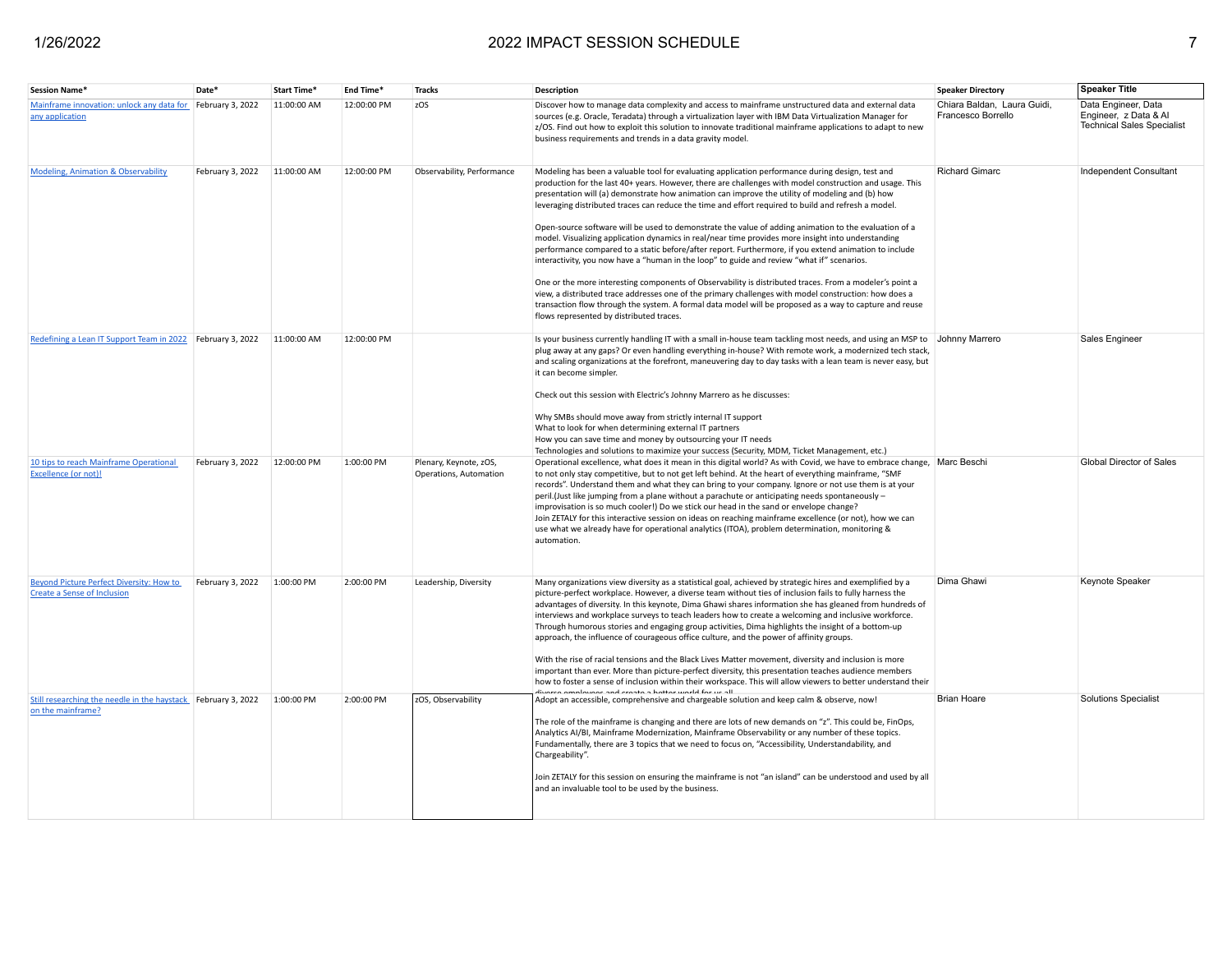| Session Name*                                                                      | Date'            | <b>Start Time</b> | End Time*   | <b>Tracks</b>                                    | Description                                                                                                                                                                                                                                                                                                                                                                                                                                                                                                                                                                                                                                                                                                                                                                                                                                                                                                                                                                                                                                                                                                                                                                                                             | <b>Speaker Directory</b>                          | <b>Speaker Title</b>                                                              |
|------------------------------------------------------------------------------------|------------------|-------------------|-------------|--------------------------------------------------|-------------------------------------------------------------------------------------------------------------------------------------------------------------------------------------------------------------------------------------------------------------------------------------------------------------------------------------------------------------------------------------------------------------------------------------------------------------------------------------------------------------------------------------------------------------------------------------------------------------------------------------------------------------------------------------------------------------------------------------------------------------------------------------------------------------------------------------------------------------------------------------------------------------------------------------------------------------------------------------------------------------------------------------------------------------------------------------------------------------------------------------------------------------------------------------------------------------------------|---------------------------------------------------|-----------------------------------------------------------------------------------|
| Mainframe innovation: unlock any data for February 3, 2022<br>any application      |                  | 11:00:00 AM       | 12:00:00 PM | zOS                                              | Discover how to manage data complexity and access to mainframe unstructured data and external data<br>sources (e.g. Oracle, Teradata) through a virtualization layer with IBM Data Virtualization Manager for<br>z/OS. Find out how to exploit this solution to innovate traditional mainframe applications to adapt to new<br>business requirements and trends in a data gravity model.                                                                                                                                                                                                                                                                                                                                                                                                                                                                                                                                                                                                                                                                                                                                                                                                                                | Chiara Baldan, Laura Guidi,<br>Francesco Borrello | Data Engineer, Data<br>Engineer, z Data & Al<br><b>Technical Sales Specialist</b> |
| <b>Modeling, Animation &amp; Observability</b>                                     | February 3, 2022 | 11:00:00 AM       | 12:00:00 PM | Observability, Performance                       | Modeling has been a valuable tool for evaluating application performance during design, test and<br>production for the last 40+ years. However, there are challenges with model construction and usage. This<br>presentation will (a) demonstrate how animation can improve the utility of modeling and (b) how<br>leveraging distributed traces can reduce the time and effort required to build and refresh a model.<br>Open-source software will be used to demonstrate the value of adding animation to the evaluation of a<br>model. Visualizing application dynamics in real/near time provides more insight into understanding<br>performance compared to a static before/after report. Furthermore, if you extend animation to include<br>interactivity, you now have a "human in the loop" to guide and review "what if" scenarios.<br>One or the more interesting components of Observability is distributed traces. From a modeler's point a<br>view, a distributed trace addresses one of the primary challenges with model construction: how does a<br>transaction flow through the system. A formal data model will be proposed as a way to capture and reuse<br>flows represented by distributed traces. | <b>Richard Gimarc</b>                             | Independent Consultant                                                            |
| Redefining a Lean IT Support Team in 2022 February 3, 2022                         |                  | 11:00:00 AM       | 12:00:00 PM |                                                  | Is your business currently handling IT with a small in-house team tackling most needs, and using an MSP to Johnny Marrero<br>plug away at any gaps? Or even handling everything in-house? With remote work, a modernized tech stack,<br>and scaling organizations at the forefront, maneuvering day to day tasks with a lean team is never easy, but<br>it can become simpler.<br>Check out this session with Electric's Johnny Marrero as he discusses:<br>Why SMBs should move away from strictly internal IT support<br>What to look for when determining external IT partners<br>How you can save time and money by outsourcing your IT needs<br>Technologies and solutions to maximize your success (Security, MDM, Ticket Management, etc.)                                                                                                                                                                                                                                                                                                                                                                                                                                                                       |                                                   | Sales Engineer                                                                    |
| 10 tips to reach Mainframe Operational<br>Excellence (or not)                      | February 3, 2022 | 12:00:00 PM       | 1:00:00 PM  | Plenary, Keynote, zOS,<br>Operations, Automation | Operational excellence, what does it mean in this digital world? As with Covid, we have to embrace change, Marc Beschi<br>to not only stay competitive, but to not get left behind. At the heart of everything mainframe, "SMF<br>records". Understand them and what they can bring to your company. Ignore or not use them is at your<br>peril.(Just like jumping from a plane without a parachute or anticipating needs spontaneously -<br>improvisation is so much cooler!) Do we stick our head in the sand or envelope change?<br>Join ZETALY for this interactive session on ideas on reaching mainframe excellence (or not), how we can<br>use what we already have for operational analytics (ITOA), problem determination, monitoring &<br>automation.                                                                                                                                                                                                                                                                                                                                                                                                                                                         |                                                   | Global Director of Sales                                                          |
| Beyond Picture Perfect Diversity: How to<br><b>Create a Sense of Inclusion</b>     | February 3, 2022 | 1:00:00 PM        | 2:00:00 PM  | Leadership, Diversity                            | Many organizations view diversity as a statistical goal, achieved by strategic hires and exemplified by a<br>picture-perfect workplace. However, a diverse team without ties of inclusion fails to fully harness the<br>advantages of diversity. In this keynote, Dima Ghawi shares information she has gleaned from hundreds of<br>interviews and workplace surveys to teach leaders how to create a welcoming and inclusive workforce.<br>Through humorous stories and engaging group activities, Dima highlights the insight of a bottom-up<br>approach, the influence of courageous office culture, and the power of affinity groups.<br>With the rise of racial tensions and the Black Lives Matter movement, diversity and inclusion is more<br>important than ever. More than picture-perfect diversity, this presentation teaches audience members<br>how to foster a sense of inclusion within their workspace. This will allow viewers to better understand their                                                                                                                                                                                                                                             | Dima Ghawi                                        | <b>Keynote Speaker</b>                                                            |
| Still researching the needle in the haystack February 3, 2022<br>on the mainframe? |                  | 1:00:00 PM        | 2:00:00 PM  | zOS, Observability                               | diuarea amplaugae and croata a battar world for us all<br>Adopt an accessible, comprehensive and chargeable solution and keep calm & observe, now!<br>The role of the mainframe is changing and there are lots of new demands on "z". This could be, FinOps,<br>Analytics AI/BI, Mainframe Modernization, Mainframe Observability or any number of these topics.<br>Fundamentally, there are 3 topics that we need to focus on, "Accessibility, Understandability, and<br>Chargeability".<br>Join ZETALY for this session on ensuring the mainframe is not "an island" can be understood and used by all<br>and an invaluable tool to be used by the business.                                                                                                                                                                                                                                                                                                                                                                                                                                                                                                                                                          | <b>Brian Hoare</b>                                | <b>Solutions Specialist</b>                                                       |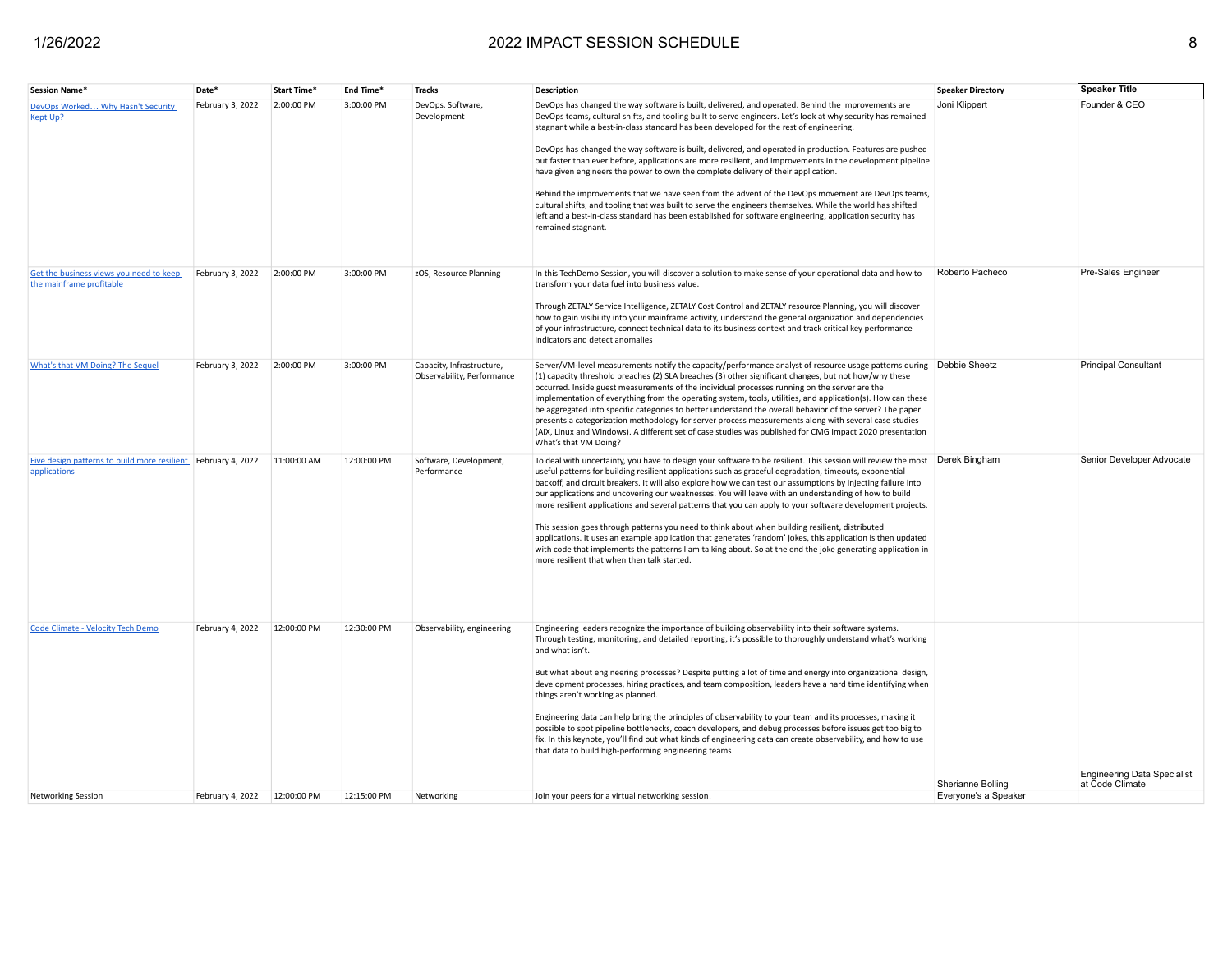| <b>Session Name*</b>                                                          | Date*            | Start Time* | End Time*   | <b>Tracks</b>                                           | <b>Description</b>                                                                                                                                                                                                                                                                                                                                                                                                                                                                                                                                                                                                                                                                                                                                                                                                                                                                                                                                                                  | <b>Speaker Directory</b>                  | <b>Speaker Title</b>                                  |
|-------------------------------------------------------------------------------|------------------|-------------|-------------|---------------------------------------------------------|-------------------------------------------------------------------------------------------------------------------------------------------------------------------------------------------------------------------------------------------------------------------------------------------------------------------------------------------------------------------------------------------------------------------------------------------------------------------------------------------------------------------------------------------------------------------------------------------------------------------------------------------------------------------------------------------------------------------------------------------------------------------------------------------------------------------------------------------------------------------------------------------------------------------------------------------------------------------------------------|-------------------------------------------|-------------------------------------------------------|
| DevOps Worked Why Hasn't Security<br>Kept Up?                                 | February 3, 2022 | 2:00:00 PM  | 3:00:00 PM  | DevOps, Software,<br>Development                        | DevOps has changed the way software is built, delivered, and operated. Behind the improvements are<br>DevOps teams, cultural shifts, and tooling built to serve engineers. Let's look at why security has remained<br>stagnant while a best-in-class standard has been developed for the rest of engineering.<br>DevOps has changed the way software is built, delivered, and operated in production. Features are pushed<br>out faster than ever before, applications are more resilient, and improvements in the development pipeline<br>have given engineers the power to own the complete delivery of their application.<br>Behind the improvements that we have seen from the advent of the DevOps movement are DevOps teams,<br>cultural shifts, and tooling that was built to serve the engineers themselves. While the world has shifted<br>left and a best-in-class standard has been established for software engineering, application security has<br>remained stagnant. | Joni Klippert                             | Founder & CEO                                         |
| Get the business views you need to keep<br>the mainframe profitable           | February 3, 2022 | 2:00:00 PM  | 3:00:00 PM  | zOS, Resource Planning                                  | In this TechDemo Session, you will discover a solution to make sense of your operational data and how to<br>transform your data fuel into business value.<br>Through ZETALY Service Intelligence, ZETALY Cost Control and ZETALY resource Planning, you will discover<br>how to gain visibility into your mainframe activity, understand the general organization and dependencies<br>of your infrastructure, connect technical data to its business context and track critical key performance<br>indicators and detect anomalies                                                                                                                                                                                                                                                                                                                                                                                                                                                  | Roberto Pacheco                           | Pre-Sales Engineer                                    |
| What's that VM Doing? The Sequel                                              | February 3, 2022 | 2:00:00 PM  | 3:00:00 PM  | Capacity, Infrastructure,<br>Observability, Performance | Server/VM-level measurements notify the capacity/performance analyst of resource usage patterns during Debbie Sheetz<br>(1) capacity threshold breaches (2) SLA breaches (3) other significant changes, but not how/why these<br>occurred. Inside guest measurements of the individual processes running on the server are the<br>implementation of everything from the operating system, tools, utilities, and application(s). How can these<br>be aggregated into specific categories to better understand the overall behavior of the server? The paper<br>presents a categorization methodology for server process measurements along with several case studies<br>(AIX, Linux and Windows). A different set of case studies was published for CMG Impact 2020 presentation<br>What's that VM Doing?                                                                                                                                                                            |                                           | <b>Principal Consultant</b>                           |
| Five design patterns to build more resilient February 4, 2022<br>applications |                  | 11:00:00 AM | 12:00:00 PM | Software, Development,<br>Performance                   | To deal with uncertainty, you have to design your software to be resilient. This session will review the most Derek Bingham<br>useful patterns for building resilient applications such as graceful degradation, timeouts, exponential<br>backoff, and circuit breakers. It will also explore how we can test our assumptions by injecting failure into<br>our applications and uncovering our weaknesses. You will leave with an understanding of how to build<br>more resilient applications and several patterns that you can apply to your software development projects.<br>This session goes through patterns you need to think about when building resilient, distributed<br>applications. It uses an example application that generates 'random' jokes, this application is then updated<br>with code that implements the patterns I am talking about. So at the end the joke generating application in<br>more resilient that when then talk started.                      |                                           | Senior Developer Advocate                             |
| <b>Code Climate - Velocity Tech Demo</b>                                      | February 4, 2022 | 12:00:00 PM | 12:30:00 PM | Observability, engineering                              | Engineering leaders recognize the importance of building observability into their software systems.<br>Through testing, monitoring, and detailed reporting, it's possible to thoroughly understand what's working<br>and what isn't.<br>But what about engineering processes? Despite putting a lot of time and energy into organizational design,<br>development processes, hiring practices, and team composition, leaders have a hard time identifying when<br>things aren't working as planned.<br>Engineering data can help bring the principles of observability to your team and its processes, making it<br>possible to spot pipeline bottlenecks, coach developers, and debug processes before issues get too big to<br>fix. In this keynote, you'll find out what kinds of engineering data can create observability, and how to use<br>that data to build high-performing engineering teams                                                                              |                                           |                                                       |
| <b>Networking Session</b>                                                     | February 4, 2022 | 12:00:00 PM | 12:15:00 PM | Networking                                              | Join your peers for a virtual networking session!                                                                                                                                                                                                                                                                                                                                                                                                                                                                                                                                                                                                                                                                                                                                                                                                                                                                                                                                   | Sherianne Bolling<br>Everyone's a Speaker | <b>Engineering Data Specialist</b><br>at Code Climate |